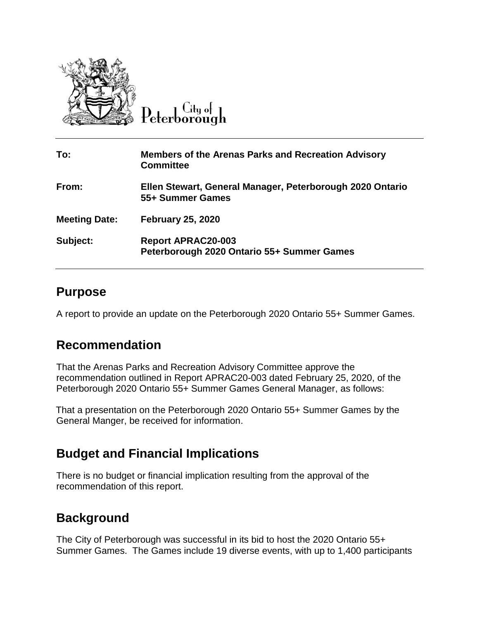

Peterborough

| To:                  | <b>Members of the Arenas Parks and Recreation Advisory</b><br><b>Committee</b> |
|----------------------|--------------------------------------------------------------------------------|
| From:                | Ellen Stewart, General Manager, Peterborough 2020 Ontario<br>55+ Summer Games  |
| <b>Meeting Date:</b> | <b>February 25, 2020</b>                                                       |
| Subject:             | <b>Report APRAC20-003</b><br>Peterborough 2020 Ontario 55+ Summer Games        |

## **Purpose**

A report to provide an update on the Peterborough 2020 Ontario 55+ Summer Games.

## **Recommendation**

That the Arenas Parks and Recreation Advisory Committee approve the recommendation outlined in Report APRAC20-003 dated February 25, 2020, of the Peterborough 2020 Ontario 55+ Summer Games General Manager, as follows:

That a presentation on the Peterborough 2020 Ontario 55+ Summer Games by the General Manger, be received for information.

## **Budget and Financial Implications**

There is no budget or financial implication resulting from the approval of the recommendation of this report.

## **Background**

The City of Peterborough was successful in its bid to host the 2020 Ontario 55+ Summer Games. The Games include 19 diverse events, with up to 1,400 participants